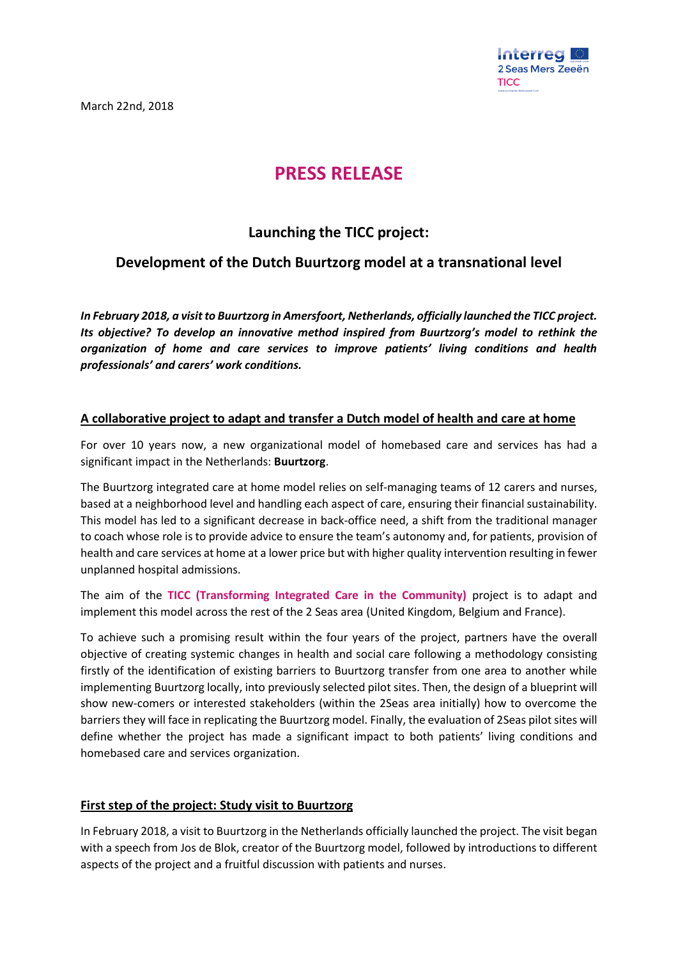March 22nd, 2018



# **PRESS RELEASE**

## **Launching the TICC project:**

## **Development of the Dutch Buurtzorg model at a transnational level**

*In February 2018, a visit to Buurtzorg in Amersfoort, Netherlands, officially launched the TICC project. Its objective? To develop an innovative method inspired from Buurtzorg's model to rethink the organization of home and care services to improve patients' living conditions and health professionals' and carers' work conditions.*

### **A collaborative project to adapt and transfer a Dutch model of health and care at home**

For over 10 years now, a new organizational model of homebased care and services has had a significant impact in the Netherlands: **Buurtzorg**.

The Buurtzorg integrated care at home model relies on self-managing teams of 12 carers and nurses, based at a neighborhood level and handling each aspect of care, ensuring their financial sustainability. This model has led to a significant decrease in back-office need, a shift from the traditional manager to coach whose role is to provide advice to ensure the team's autonomy and, for patients, provision of health and care services at home at a lower price but with higher quality intervention resulting in fewer unplanned hospital admissions.

The aim of the **TICC (Transforming Integrated Care in the Community)** project is to adapt and implement this model across the rest of the 2 Seas area (United Kingdom, Belgium and France).

To achieve such a promising result within the four years of the project, partners have the overall objective of creating systemic changes in health and social care following a methodology consisting firstly of the identification of existing barriers to Buurtzorg transfer from one area to another while implementing Buurtzorg locally, into previously selected pilot sites. Then, the design of a blueprint will show new-comers or interested stakeholders (within the 2Seas area initially) how to overcome the barriers they will face in replicating the Buurtzorg model. Finally, the evaluation of 2Seas pilot sites will define whether the project has made a significant impact to both patients' living conditions and homebased care and services organization.

#### **First step of the project: Study visit to Buurtzorg**

In February 2018, a visit to Buurtzorg in the Netherlands officially launched the project. The visit began with a speech from Jos de Blok, creator of the Buurtzorg model, followed by introductions to different aspects of the project and a fruitful discussion with patients and nurses.